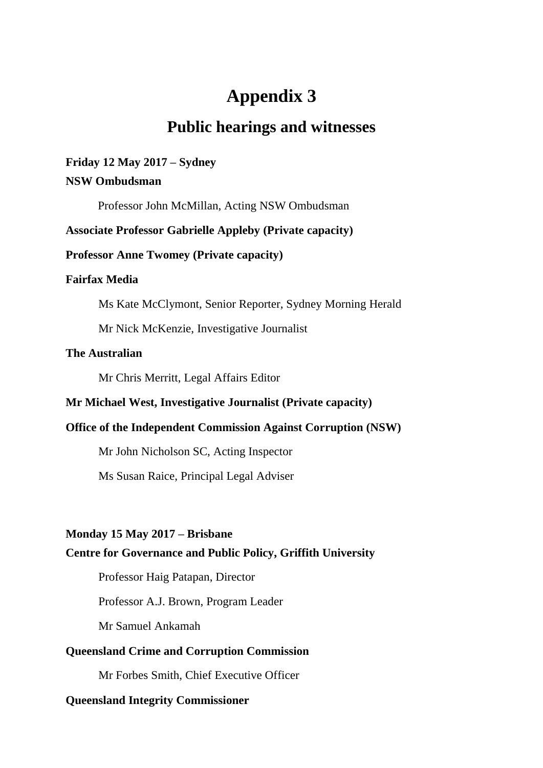# **Appendix 3**

## **Public hearings and witnesses**

## **Friday 12 May 2017 – Sydney**

## **NSW Ombudsman**

Professor John McMillan, Acting NSW Ombudsman

## **Associate Professor Gabrielle Appleby (Private capacity)**

## **Professor Anne Twomey (Private capacity)**

## **Fairfax Media**

Ms Kate McClymont, Senior Reporter, Sydney Morning Herald

Mr Nick McKenzie, Investigative Journalist

## **The Australian**

Mr Chris Merritt, Legal Affairs Editor

## **Mr Michael West, Investigative Journalist (Private capacity)**

## **Office of the Independent Commission Against Corruption (NSW)**

Mr John Nicholson SC, Acting Inspector

Ms Susan Raice, Principal Legal Adviser

## **Monday 15 May 2017 – Brisbane**

## **Centre for Governance and Public Policy, Griffith University**

Professor Haig Patapan, Director

Professor A.J. Brown, Program Leader

Mr Samuel Ankamah

## **Queensland Crime and Corruption Commission**

Mr Forbes Smith, Chief Executive Officer

## **Queensland Integrity Commissioner**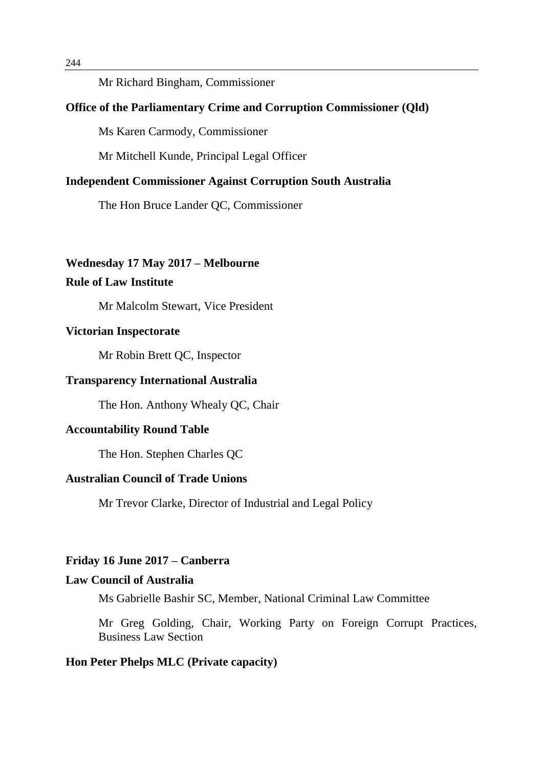#### Mr Richard Bingham, Commissioner

#### **Office of the Parliamentary Crime and Corruption Commissioner (Qld)**

Ms Karen Carmody, Commissioner

Mr Mitchell Kunde, Principal Legal Officer

#### **Independent Commissioner Against Corruption South Australia**

The Hon Bruce Lander QC, Commissioner

#### **Wednesday 17 May 2017 – Melbourne**

## **Rule of Law Institute**

Mr Malcolm Stewart, Vice President

#### **Victorian Inspectorate**

Mr Robin Brett QC, Inspector

#### **Transparency International Australia**

The Hon. Anthony Whealy QC, Chair

#### **Accountability Round Table**

The Hon. Stephen Charles QC

## **Australian Council of Trade Unions**

Mr Trevor Clarke, Director of Industrial and Legal Policy

## **Friday 16 June 2017 – Canberra**

## **Law Council of Australia**

Ms Gabrielle Bashir SC, Member, National Criminal Law Committee

Mr Greg Golding, Chair, Working Party on Foreign Corrupt Practices, Business Law Section

#### **Hon Peter Phelps MLC (Private capacity)**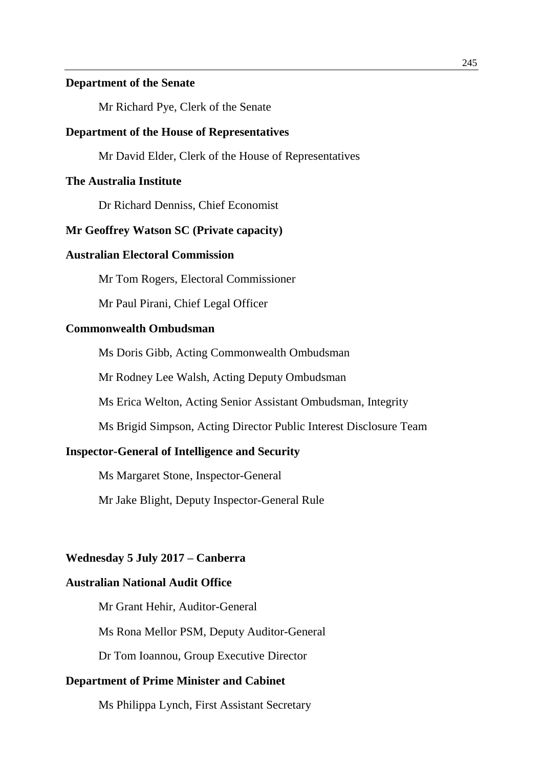#### **Department of the Senate**

Mr Richard Pye, Clerk of the Senate

#### **Department of the House of Representatives**

Mr David Elder, Clerk of the House of Representatives

#### **The Australia Institute**

Dr Richard Denniss, Chief Economist

#### **Mr Geoffrey Watson SC (Private capacity)**

## **Australian Electoral Commission**

Mr Tom Rogers, Electoral Commissioner

Mr Paul Pirani, Chief Legal Officer

#### **Commonwealth Ombudsman**

Ms Doris Gibb, Acting Commonwealth Ombudsman

Mr Rodney Lee Walsh, Acting Deputy Ombudsman

Ms Erica Welton, Acting Senior Assistant Ombudsman, Integrity

Ms Brigid Simpson, Acting Director Public Interest Disclosure Team

#### **Inspector-General of Intelligence and Security**

Ms Margaret Stone, Inspector-General

Mr Jake Blight, Deputy Inspector-General Rule

#### **Wednesday 5 July 2017 – Canberra**

## **Australian National Audit Office**

Mr Grant Hehir, Auditor-General

Ms Rona Mellor PSM, Deputy Auditor-General

Dr Tom Ioannou, Group Executive Director

#### **Department of Prime Minister and Cabinet**

Ms Philippa Lynch, First Assistant Secretary